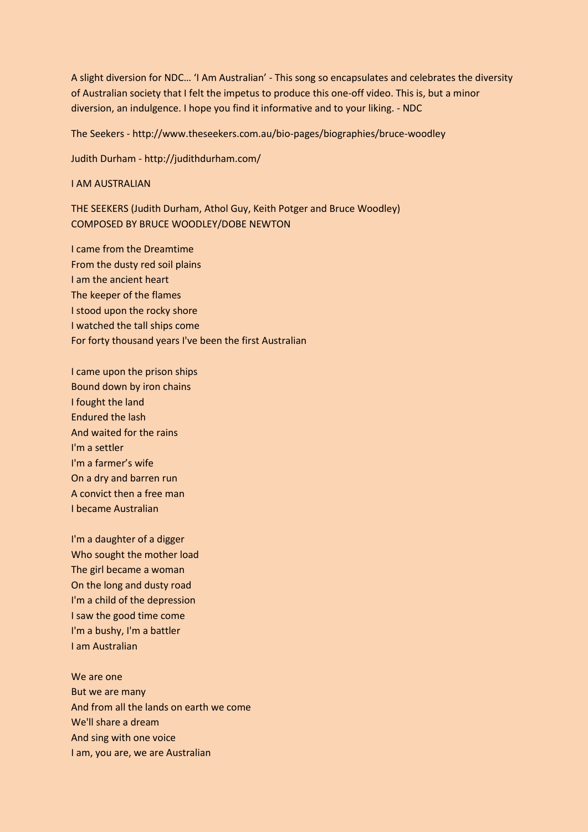A slight diversion for NDC… 'I Am Australian' - This song so encapsulates and celebrates the diversity of Australian society that I felt the impetus to produce this one-off video. This is, but a minor diversion, an indulgence. I hope you find it informative and to your liking. - NDC

The Seekers - http://www.theseekers.com.au/bio-pages/biographies/bruce-woodley

Judith Durham - http://judithdurham.com/

I AM AUSTRALIAN

THE SEEKERS (Judith Durham, Athol Guy, Keith Potger and Bruce Woodley) COMPOSED BY BRUCE WOODLEY/DOBE NEWTON

I came from the Dreamtime From the dusty red soil plains I am the ancient heart The keeper of the flames I stood upon the rocky shore I watched the tall ships come For forty thousand years I've been the first Australian

I came upon the prison ships Bound down by iron chains I fought the land Endured the lash And waited for the rains I'm a settler I'm a farmer's wife On a dry and barren run A convict then a free man I became Australian

I'm a daughter of a digger Who sought the mother load The girl became a woman On the long and dusty road I'm a child of the depression I saw the good time come I'm a bushy, I'm a battler I am Australian

We are one But we are many And from all the lands on earth we come We'll share a dream And sing with one voice I am, you are, we are Australian